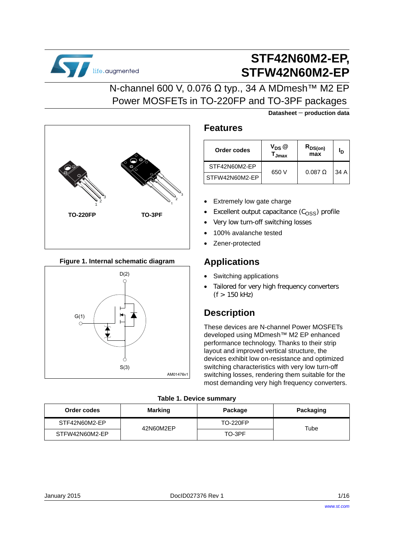

# **STF42N60M2-EP, STFW42N60M2-EP**

**Datasheet** − **production data**

## N-channel 600 V, 0.076 Ω typ., 34 A MDmesh<sup>™</sup> M2 EP Power MOSFETs in TO-220FP and TO-3PF packages



### **Figure 1. Internal schematic diagram**



### **Features**

| Order codes    | $V_{DS}$ $@$<br>Jmax | R <sub>DS(on)</sub><br>max | סי   |
|----------------|----------------------|----------------------------|------|
| STF42N60M2-EP  |                      | $0.087$ $\Omega$           | 34 A |
| STFW42N60M2-EP | 650 V                |                            |      |

- Extremely low gate charge
- Excellent output capacitance  $(C<sub>OSS</sub>)$  profile
- Very low turn-off switching losses
- 100% avalanche tested
- Zener-protected

## **Applications**

- Switching applications
- Tailored for very high frequency converters  $(f > 150$  kHz)

## **Description**

These devices are N-channel Power MOSFETs developed using MDmesh™ M2 EP enhanced performance technology. Thanks to their strip layout and improved vertical structure, the devices exhibit low on-resistance and optimized switching characteristics with very low turn-off switching losses, rendering them suitable for the most demanding very high frequency converters.

### **Table 1. Device summary**

| Order codes    | <b>Marking</b> | Package         | Packaging |
|----------------|----------------|-----------------|-----------|
| STF42N60M2-EP  | 42N60M2EP      | <b>TO-220FP</b> | Tube      |
| STFW42N60M2-EP |                | TO-3PF          |           |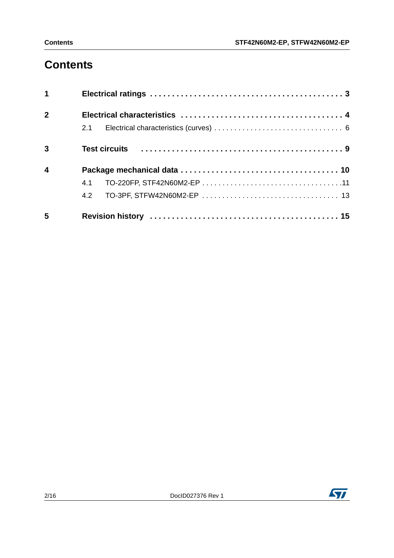# **Contents**

| $\mathbf 1$             |     |
|-------------------------|-----|
| $\overline{2}$          |     |
|                         | 2.1 |
| 3                       |     |
| $\overline{\mathbf{4}}$ |     |
|                         | 4.1 |
|                         | 4.2 |
| 5                       |     |

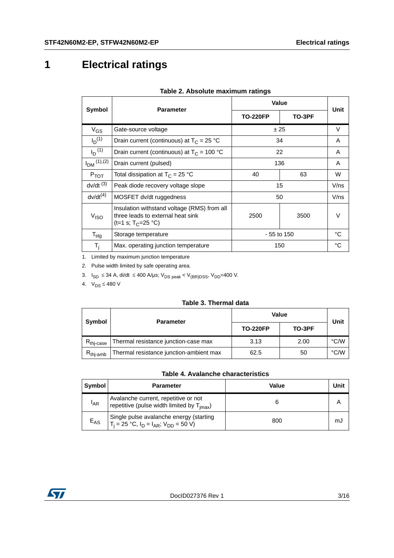## **1 Electrical ratings**

'n

| Symbol<br><b>Parameter</b> |                                                                                                                                    | Value           |        | Unit |
|----------------------------|------------------------------------------------------------------------------------------------------------------------------------|-----------------|--------|------|
|                            |                                                                                                                                    | <b>TO-220FP</b> | TO-3PF |      |
| $V_{GS}$                   | ±25<br>Gate-source voltage                                                                                                         |                 |        | V    |
| $I_{D}^{(1)}$              | Drain current (continuous) at $T_c = 25 °C$                                                                                        | 34              |        | A    |
| $I_D^{(1)}$                | Drain current (continuous) at $T_c = 100 °C$                                                                                       | 22              |        | A    |
| $I_{DM}$ (1), (2)          | Drain current (pulsed)                                                                                                             | 136             |        | A    |
| $P_{TOT}$                  | Total dissipation at $T_C = 25 °C$                                                                                                 | 63<br>40        |        | W    |
| $dv/dt$ <sup>(3)</sup>     | Peak diode recovery voltage slope                                                                                                  | 15              |        | V/ns |
| $dv/dt^{(4)}$              | MOSFET dv/dt ruggedness                                                                                                            |                 | 50     | V/ns |
| V <sub>ISO</sub>           | Insulation withstand voltage (RMS) from all<br>three leads to external heat sink<br>2500<br>3500<br>(t=1 s; T <sub>C</sub> =25 °C) |                 |        | V    |
| $T_{\text{stg}}$           | Storage temperature                                                                                                                | $-55$ to 150    |        | °C   |
| $T_i$                      | Max. operating junction temperature                                                                                                |                 | 150    | °C   |

#### **Table 2. Absolute maximum ratings**

1. Limited by maximum junction temperature

2. Pulse width limited by safe operating area.

3.  $I_{SD}$  ≤ 34 A, di/dt ≤ 400 A/µs; V<sub>DS peak</sub> < V<sub>(BR)DSS</sub>, V<sub>DD</sub>=400 V.

4.  $V_{DS} \leq 480 V$ 

#### **Table 3. Thermal data**

| Symbol<br><b>Parameter</b> |                                         | <b>Value</b>    | Unit   |      |
|----------------------------|-----------------------------------------|-----------------|--------|------|
|                            |                                         | <b>TO-220FP</b> | TO-3PF |      |
| $R_{\text{thi-case}}$      | Thermal resistance junction-case max    | 3.13            | 2.00   | °C/W |
| $R_{\text{thi-amb}}$       | Thermal resistance junction-ambient max | 62.5            | 50     | °C/W |

#### **Table 4. Avalanche characteristics**

| <b>Symbol</b> | <b>Parameter</b>                                                                               | Value | Unit |
|---------------|------------------------------------------------------------------------------------------------|-------|------|
| $I_{AR}$      | Avalanche current, repetitive or not<br>repetitive (pulse width limited by $T_{\text{imax}}$ ) |       |      |
| $E_{AS}$      | Single pulse avalanche energy (starting<br>$T_i = 25$ °C, $I_D = I_{AR}$ ; $V_{DD} = 50$ V)    | 800   | mJ   |

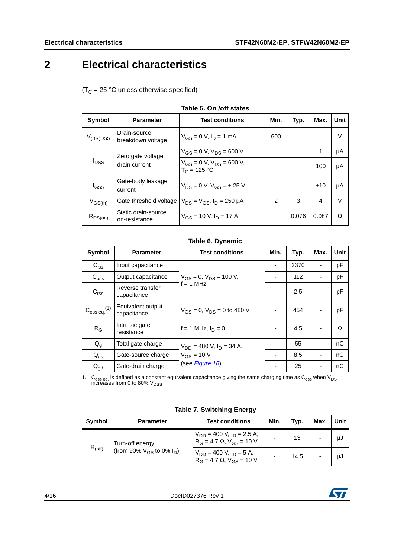## <span id="page-3-0"></span>**2 Electrical characteristics**

 $(T_C = 25 °C$  unless otherwise specified)

| Symbol                                   | <b>Parameter</b>                                    | <b>Test conditions</b>                | Min.           | Typ.  | Max.  | Unit |
|------------------------------------------|-----------------------------------------------------|---------------------------------------|----------------|-------|-------|------|
| $V_{(BR)DSS}$                            | Drain-source<br>breakdown voltage                   | $V_{GS} = 0$ V, $I_D = 1$ mA          | 600            |       |       | v    |
|                                          | Zero gate voltage                                   | $V_{GS} = 0 V$ , $V_{DS} = 600 V$     |                |       | 1     | μA   |
| <b>I</b> <sub>DSS</sub><br>drain current | $V_{GS} = 0$ V, $V_{DS} = 600$ V,<br>$T_C = 125 °C$ |                                       |                | 100   | μA    |      |
| l <sub>GSS</sub>                         | Gate-body leakage<br>current                        | $V_{DS} = 0 V$ , $V_{GS} = \pm 25 V$  |                |       | ±10   | μA   |
| $V_{GS(th)}$                             | Gate threshold voltage                              | $V_{DS} = V_{GS}$ , $I_D = 250 \mu A$ | $\overline{2}$ | 3     | 4     | V    |
| $R_{DS(on)}$                             | Static drain-source<br>on-resistance                | $V_{GS}$ = 10 V, $I_D$ = 17 A         |                | 0.076 | 0.087 | Ω    |

#### **Table 5. On /off states**

#### **Table 6. Dynamic**

| Symbol                       | <b>Parameter</b>                 | <b>Test conditions</b>               | Min. | Typ. | Max. | <b>Unit</b> |
|------------------------------|----------------------------------|--------------------------------------|------|------|------|-------------|
| $C_{iss}$                    | Input capacitance                |                                      |      | 2370 |      | pF          |
| $C_{\text{oss}}$             | Output capacitance               | $V_{GS} = 0$ , $V_{DS} = 100$ V,     |      | 112  |      | pF          |
| C <sub>rss</sub>             | Reverse transfer<br>capacitance  | $f = 1$ MHz                          |      | 2.5  |      | pF          |
| $C_{\rm oss\,eq.}^{\rm}$ (1) | Equivalent output<br>capacitance | $V_{GS} = 0$ , $V_{DS} = 0$ to 480 V |      | 454  |      | pF          |
| $R_G$                        | Intrinsic gate<br>resistance     | f = 1 MHz, $I_D = 0$                 |      | 4.5  |      | Ω           |
| $Q_{q}$                      | Total gate charge                | $V_{DD}$ = 480 V, $I_D$ = 34 A,      |      | 55   |      | nC          |
| $Q_{gs}$                     | Gate-source charge               | $V_{GS}$ = 10 V                      |      | 8.5  |      | nC          |
| $Q_{\text{gd}}$              | Gate-drain charge                | (see Figure 18)                      |      | 25   |      | nC          |

1.  $\rm{C_{oss}}$  eq. is defined as a constant equivalent capacitance giving the same charging time as  $\rm{C_{oss}}$  when V<sub>DS</sub> increases from 0 to 80% V<sub>DSS</sub>

**Table 7. Switching Energy**

| Symbol | Parameter                                                          | <b>Test conditions</b>                                                            | Min. | Typ. | Max.                     | Unit |
|--------|--------------------------------------------------------------------|-----------------------------------------------------------------------------------|------|------|--------------------------|------|
|        | Turn-off energy<br>$R_{(off)}$<br>(from 90% $V_{GS}$ to 0% $I_D$ ) | $V_{DD}$ = 400 V, I <sub>D</sub> = 2.5 A,<br>$R_G = 4.7 \Omega$ , $V_{GS} = 10 V$ |      | 13   | $\overline{\phantom{0}}$ | μJ   |
|        |                                                                    | $V_{DD}$ = 400 V, I <sub>D</sub> = 5 A,<br>$R_G = 4.7 \Omega$ , $V_{GS} = 10 V$   |      | 14.5 | -                        | μJ   |

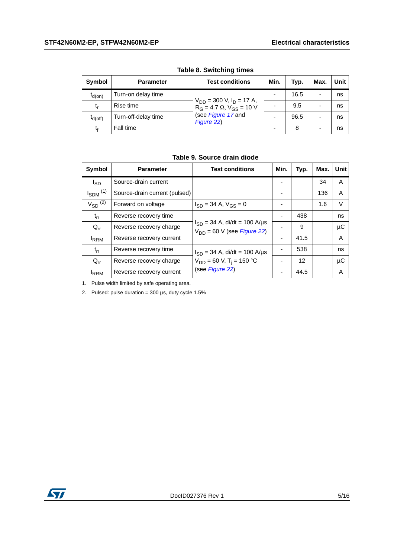| Symbol       | <b>Parameter</b>    | <b>Test conditions</b>                                                                                      | Min. | Typ. | Max.                     | Unit |
|--------------|---------------------|-------------------------------------------------------------------------------------------------------------|------|------|--------------------------|------|
| $t_{d(on)}$  | Turn-on delay time  | $V_{DD}$ = 300 V, $I_D$ = 17 A,<br>$R_G = 4.7 \Omega$ , $V_{GS} = 10 V$<br>(see Figure 17 and<br>Figure 22) |      | 16.5 | -                        | ns   |
| t,           | Rise time           |                                                                                                             |      | 9.5  | $\overline{\phantom{0}}$ | ns   |
| $I_{d(off)}$ | Turn-off-delay time |                                                                                                             |      | 96.5 | -                        | ns   |
| t,           | Fall time           |                                                                                                             |      | 8    | -                        | ns   |

**Table 8. Switching times**

**Table 9. Source drain diode**

| Symbol                   | <b>Parameter</b>              | <b>Test conditions</b>                                                       | Min.                     | Typ. | Max. | Unit |
|--------------------------|-------------------------------|------------------------------------------------------------------------------|--------------------------|------|------|------|
| l <sub>SD</sub>          | Source-drain current          |                                                                              |                          |      | 34   | Α    |
| $I_{SDM}$ <sup>(1)</sup> | Source-drain current (pulsed) |                                                                              |                          |      | 136  | A    |
| $V_{SD}$ <sup>(2)</sup>  | Forward on voltage            | $I_{SD}$ = 34 A, $V_{GS}$ = 0                                                |                          |      | 1.6  | V    |
| $t_{rr}$                 | Reverse recovery time         |                                                                              |                          | 438  |      | ns   |
| $Q_{rr}$                 | Reverse recovery charge       | $I_{SD} = 34$ A, di/dt = 100 A/µs<br>$V_{DD}$ = 60 V (see <i>Figure 22</i> ) |                          | 9    |      | μC   |
| $I_{RRM}$                | Reverse recovery current      |                                                                              | $\overline{\phantom{0}}$ | 41.5 |      | A    |
| $t_{rr}$                 | Reverse recovery time         | $I_{SD} = 34$ A, di/dt = 100 A/µs                                            |                          | 538  |      | ns   |
| $Q_{rr}$                 | Reverse recovery charge       | $V_{DD} = 60$ V, T <sub>i</sub> = 150 °C                                     |                          | 12   |      | μC   |
| <sup>I</sup> RRM         | Reverse recovery current      | (see Figure 22)                                                              |                          | 44.5 |      | Α    |

1. Pulse width limited by safe operating area.

2. Pulsed: pulse duration =  $300 \mu s$ , duty cycle  $1.5\%$ 

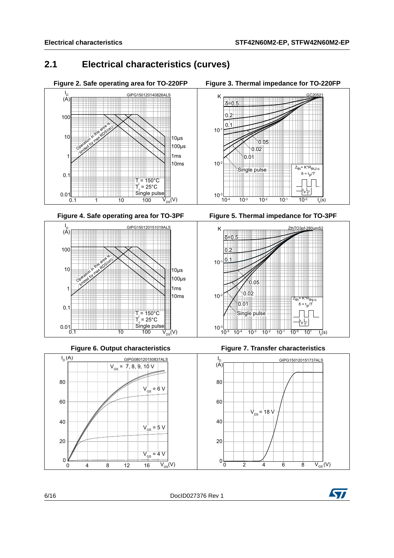$Z_{th}$ = K\*R<sub>thJ-c</sub>  $δ = t<sub>p</sub>/T$ 

<u>GC20521</u>

W  $\frac{p}{\tau}$ 

## <span id="page-5-0"></span>**2.1 Electrical characteristics (curves)**



Figure 4. Safe operating area for TO-3PF



Figure 6. Output characteristics



 $10^{-3}$   $\frac{1}{10^{-4}}$  $\overline{t_{n}(s)}$ 10<sup>-4</sup> 10<sup>-3</sup> 10<sup>-2</sup> 10<sup>-1</sup> 10<sup>-0</sup> t<sub>p</sub>(s)

**Figure 3. Thermal impedance for TO-220FP** 

 $10<sup>°</sup>$ 

.

 $\overline{\delta} = 0$ 

٦O.  $\circ$ 

 $0.01$ 

Single pulse

 $0.02$  $0.05$ 

 $10<sup>-</sup>$ 



**Figure 7. Transfer characteristics** 



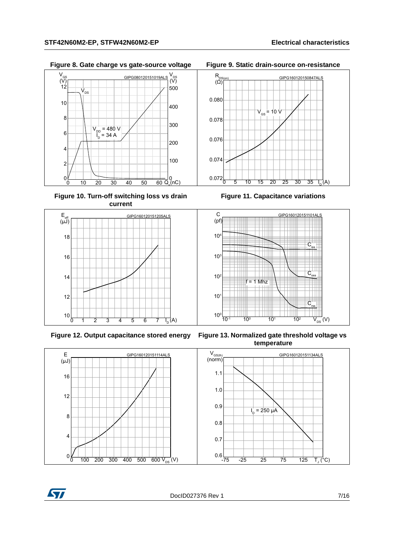**Figure 8. Gate charge vs gate-source voltage Figure 9. Static drain-source on-resistance**



**Figure 10. Turn-off switching loss vs drain current**





**Figure 11. Capacitance variations** 0 5 10 15 20 25 30 35 I<sub>n</sub>(A)



**Figure 12. Output capacitance stored energy Figure 13. Normalized gate threshold voltage vs temperature**



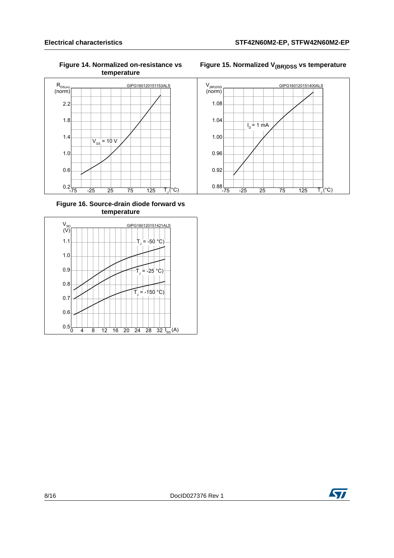**Figure 14. Normalized on-resistance vs temperature**



#### **Figure 16. Source-drain diode forward vs temperature**





### ST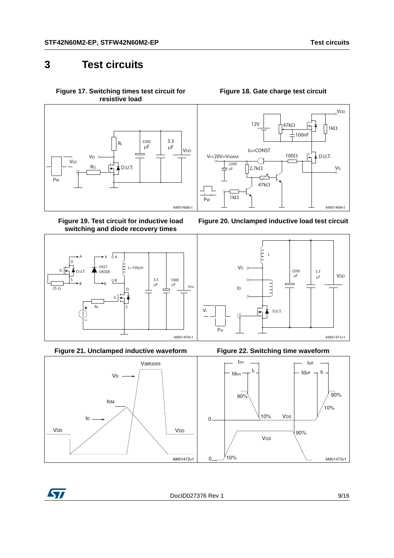## <span id="page-8-0"></span>**3 Test circuits**

<span id="page-8-2"></span>**Figure 17. Switching times test circuit for resistive load**



**Figure 19. Test circuit for inductive load switching and diode recovery times**



**Figure 21. Unclamped inductive waveform Figure 22. Switching time waveform**



#### **Figure 18. Gate charge test circuit**

<span id="page-8-1"></span>







<span id="page-8-3"></span>

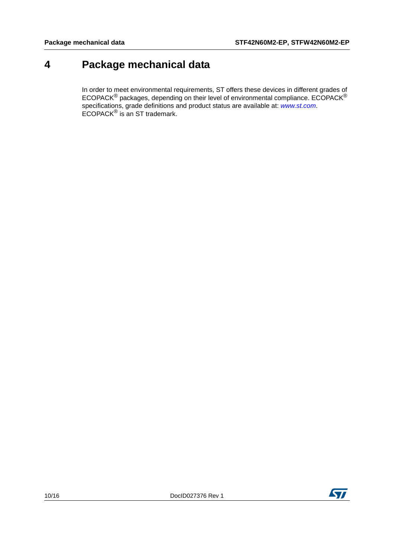## <span id="page-9-0"></span>**4 Package mechanical data**

In order to meet environmental requirements, ST offers these devices in different grades of ECOPACK $^{\circledR}$  packages, depending on their level of environmental compliance. ECOPACK $^{\circledR}$ specifications, grade definitions and product status are available at: *[www.st.com](http://www.st.com)*. ECOPACK® is an ST trademark.

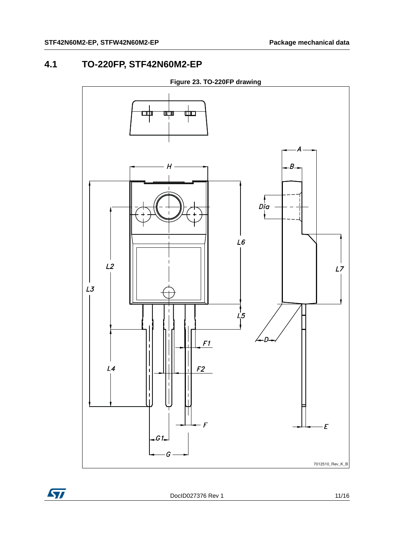## <span id="page-10-0"></span>**4.1 TO-220FP, STF42N60M2-EP**



**Figure 23. TO-220FP drawing**



DocID027376 Rev 1 11/16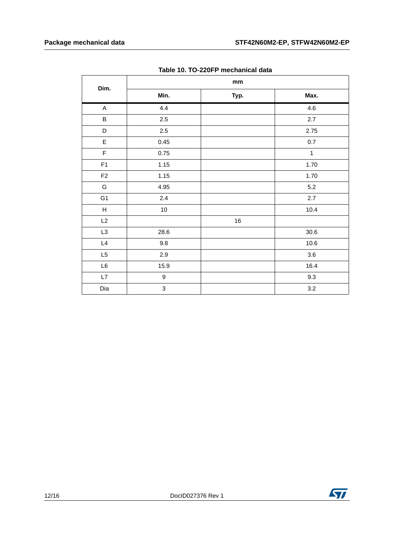| <b>19910 101 10 ELGI 1 MIOONUMOUS GUIU</b> |                  |                               |              |  |  |  |
|--------------------------------------------|------------------|-------------------------------|--------------|--|--|--|
| Dim.                                       |                  | $\mathop{\text{mm}}\nolimits$ |              |  |  |  |
|                                            | Min.             | Typ.                          | Max.         |  |  |  |
| $\boldsymbol{\mathsf{A}}$                  | 4.4              |                               | 4.6          |  |  |  |
| $\sf B$                                    | 2.5              |                               | 2.7          |  |  |  |
| $\mathsf D$                                | 2.5              |                               | 2.75         |  |  |  |
| $\mathsf E$                                | 0.45             |                               | $0.7\,$      |  |  |  |
| $\mathsf F$                                | 0.75             |                               | $\mathbf{1}$ |  |  |  |
| F1                                         | 1.15             |                               | 1.70         |  |  |  |
| $\mathsf{F2}$                              | 1.15             |                               | 1.70         |  |  |  |
| G                                          | 4.95             |                               | $5.2\,$      |  |  |  |
| G <sub>1</sub>                             | 2.4              |                               | 2.7          |  |  |  |
| $\boldsymbol{\mathsf{H}}$                  | 10               |                               | 10.4         |  |  |  |
| L2                                         |                  | $16\,$                        |              |  |  |  |
| L <sub>3</sub>                             | 28.6             |                               | $30.6\,$     |  |  |  |
| L4                                         | 9.8              |                               | 10.6         |  |  |  |
| L5                                         | $2.9\,$          |                               | $3.6\,$      |  |  |  |
| $\mathsf{L}6$                              | 15.9             |                               | 16.4         |  |  |  |
| $\mathsf{L}7$                              | $\boldsymbol{9}$ |                               | 9.3          |  |  |  |
| Dia                                        | 3                |                               | $3.2\,$      |  |  |  |

**Table 10. TO-220FP mechanical data**

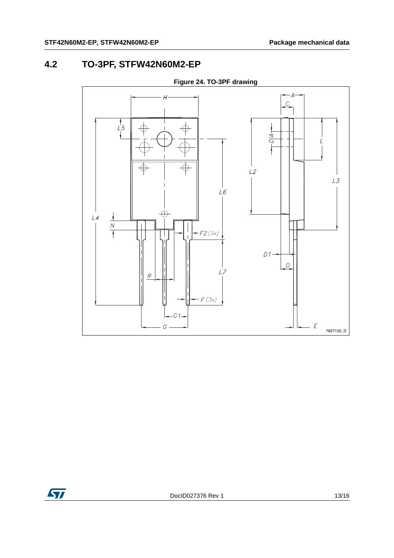## <span id="page-12-0"></span>**4.2 TO-3PF, STFW42N60M2-EP**



**Figure 24. TO-3PF drawing** 

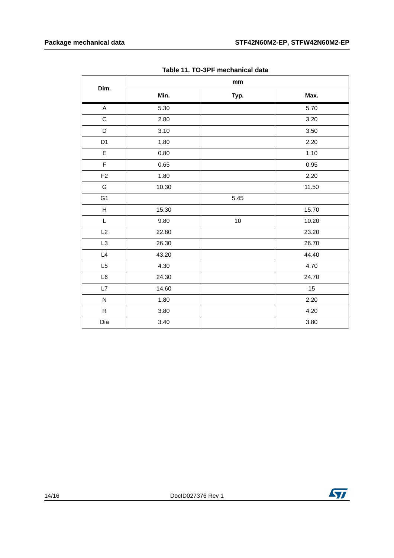| rapic TT. TO-01 T Incondition data |       |        |       |  |  |
|------------------------------------|-------|--------|-------|--|--|
| Dim.                               | mm    |        |       |  |  |
|                                    | Min.  | Typ.   | Max.  |  |  |
| $\boldsymbol{\mathsf{A}}$          | 5.30  |        | 5.70  |  |  |
| $\mathbf C$                        | 2.80  |        | 3.20  |  |  |
| $\mathsf D$                        | 3.10  |        | 3.50  |  |  |
| D <sub>1</sub>                     | 1.80  |        | 2.20  |  |  |
| $\mathsf E$                        | 0.80  |        | 1.10  |  |  |
| $\mathsf F$                        | 0.65  |        | 0.95  |  |  |
| F <sub>2</sub>                     | 1.80  |        | 2.20  |  |  |
| G                                  | 10.30 |        | 11.50 |  |  |
| G <sub>1</sub>                     |       | 5.45   |       |  |  |
| $\boldsymbol{\mathsf{H}}$          | 15.30 |        | 15.70 |  |  |
| L                                  | 9.80  | $10\,$ | 10.20 |  |  |
| L2                                 | 22.80 |        | 23.20 |  |  |
| L <sub>3</sub>                     | 26.30 |        | 26.70 |  |  |
| L4                                 | 43.20 |        | 44.40 |  |  |
| L5                                 | 4.30  |        | 4.70  |  |  |
| L6                                 | 24.30 |        | 24.70 |  |  |
| L7                                 | 14.60 |        | 15    |  |  |
| ${\sf N}$                          | 1.80  |        | 2.20  |  |  |
| ${\sf R}$                          | 3.80  |        | 4.20  |  |  |
| Dia                                | 3.40  |        | 3.80  |  |  |

**Table 11. TO-3PF mechanical data**

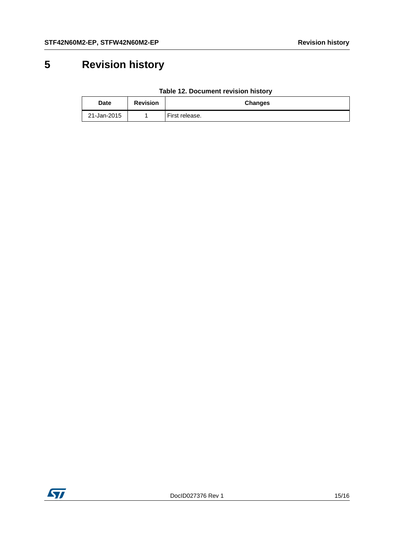# <span id="page-14-0"></span>**5 Revision history**

| <b>Date</b> | <b>Revision</b> | Changes        |
|-------------|-----------------|----------------|
| 21-Jan-2015 |                 | First release. |

#### **Table 12. Document revision history**